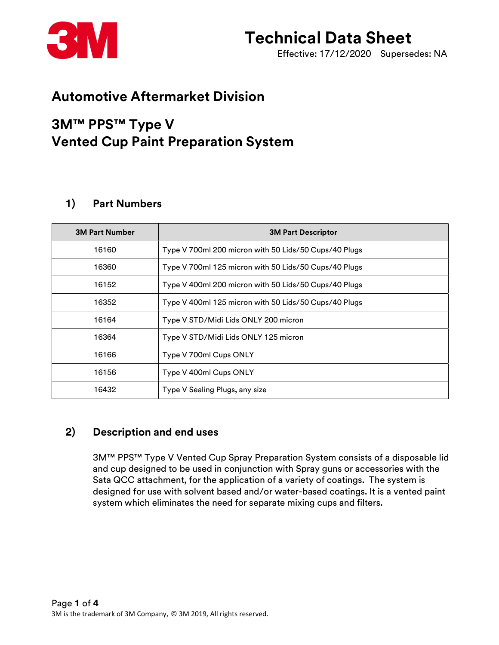

# Technical Data Sheet

Effective: 17/12/2020 Supersedes: NA

## Automotive Aftermarket Division

## 3M™ PPS™ Type V Vented Cup Paint Preparation System

### 1) Part Numbers

| <b>3M Part Number</b> | <b>3M Part Descriptor</b>                             |  |
|-----------------------|-------------------------------------------------------|--|
| 16160                 | Type V 700ml 200 micron with 50 Lids/50 Cups/40 Plugs |  |
| 16360                 | Type V 700ml 125 micron with 50 Lids/50 Cups/40 Plugs |  |
| 16152                 | Type V 400ml 200 micron with 50 Lids/50 Cups/40 Plugs |  |
| 16352                 | Type V 400ml 125 micron with 50 Lids/50 Cups/40 Plugs |  |
| 16164                 | Type V STD/Midi Lids ONLY 200 micron                  |  |
| 16364                 | Type V STD/Midi Lids ONLY 125 micron                  |  |
| 16166                 | Type V 700ml Cups ONLY                                |  |
| 16156                 | Type V 400ml Cups ONLY                                |  |
| 16432                 | Type V Sealing Plugs, any size                        |  |

#### 2) Description and end uses

3M™ PPS™ Type V Vented Cup Spray Preparation System consists of a disposable lid and cup designed to be used in conjunction with Spray guns or accessories with the Sata QCC attachment, for the application of a variety of coatings. The system is designed for use with solvent based and/or water-based coatings. It is a vented paint system which eliminates the need for separate mixing cups and filters.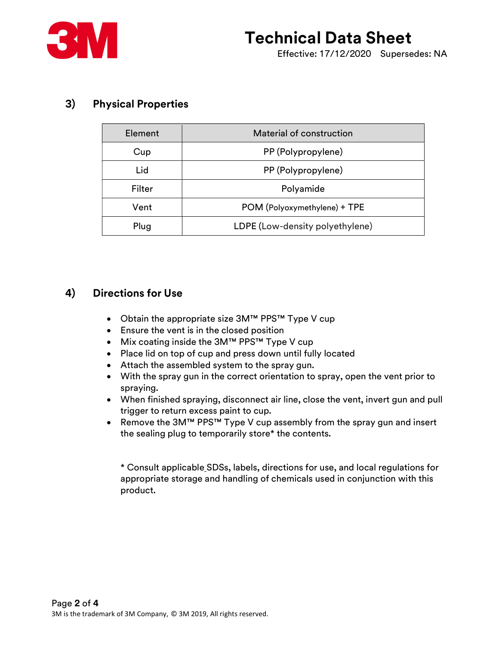

| Element       | Material of construction        |  |
|---------------|---------------------------------|--|
| Cup           | PP (Polypropylene)              |  |
| Lid           | PP (Polypropylene)              |  |
| <b>Filter</b> | Polyamide                       |  |
| Vent          | POM (Polyoxymethylene) + TPE    |  |
| Plug          | LDPE (Low-density polyethylene) |  |

### 3) Physical Properties

#### 4) Directions for Use

- Obtain the appropriate size 3M™ PPS™ Type V cup
- Ensure the vent is in the closed position
- Mix coating inside the 3M™ PPS™ Type V cup
- Place lid on top of cup and press down until fully located
- Attach the assembled system to the spray gun.
- With the spray gun in the correct orientation to spray, open the vent prior to spraying.
- When finished spraying, disconnect air line, close the vent, invert gun and pull trigger to return excess paint to cup.
- Remove the 3M<sup>™</sup> PPS<sup>™</sup> Type V cup assembly from the spray gun and insert the sealing plug to temporarily store\* the contents.

\* Consult applicable SDSs, labels, directions for use, and local regulations for appropriate storage and handling of chemicals used in conjunction with this product.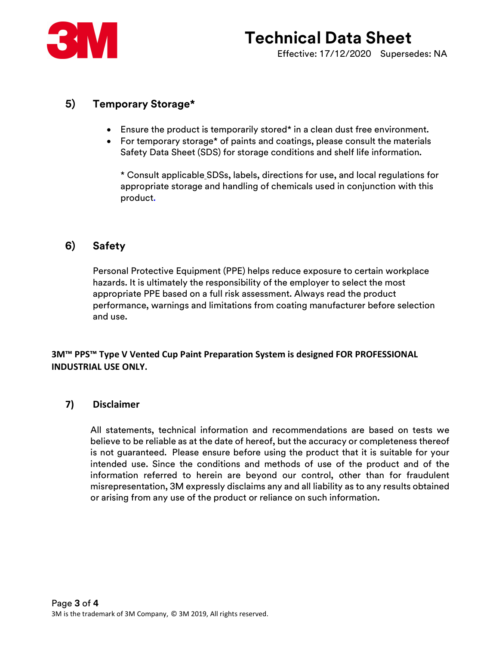

#### 5) Temporary Storage\*

- Ensure the product is temporarily stored\* in a clean dust free environment.
- For temporary storage\* of paints and coatings, please consult the materials Safety Data Sheet (SDS) for storage conditions and shelf life information.

\* Consult applicable SDSs, labels, directions for use, and local regulations for appropriate storage and handling of chemicals used in conjunction with this product.

#### 6) Safety

Personal Protective Equipment (PPE) helps reduce exposure to certain workplace hazards. It is ultimately the responsibility of the employer to select the most appropriate PPE based on a full risk assessment. Always read the product performance, warnings and limitations from coating manufacturer before selection and use.

3M™ PPS™ Type V Vented Cup Paint Preparation System is designed FOR PROFESSIONAL INDUSTRIAL USE ONLY.

#### 7) Disclaimer

All statements, technical information and recommendations are based on tests we believe to be reliable as at the date of hereof, but the accuracy or completeness thereof is not guaranteed. Please ensure before using the product that it is suitable for your intended use. Since the conditions and methods of use of the product and of the information referred to herein are beyond our control, other than for fraudulent misrepresentation, 3M expressly disclaims any and all liability as to any results obtained or arising from any use of the product or reliance on such information.